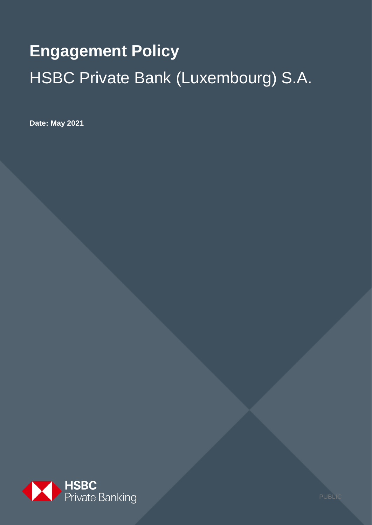# **Engagement Policy**  HSBC Private Bank (Luxembourg) S.A.

**Date: May 2021**



PUBLI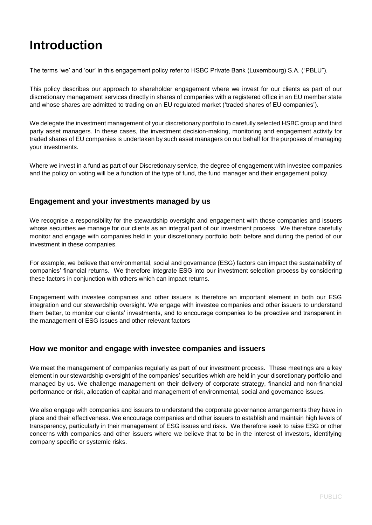# **Introduction**

The terms 'we' and 'our' in this engagement policy refer to HSBC Private Bank (Luxembourg) S.A. ("PBLU").

This policy describes our approach to shareholder engagement where we invest for our clients as part of our discretionary management services directly in shares of companies with a registered office in an EU member state and whose shares are admitted to trading on an EU regulated market ('traded shares of EU companies').

We delegate the investment management of your discretionary portfolio to carefully selected HSBC group and third party asset managers. In these cases, the investment decision-making, monitoring and engagement activity for traded shares of EU companies is undertaken by such asset managers on our behalf for the purposes of managing your investments.

Where we invest in a fund as part of our Discretionary service, the degree of engagement with investee companies and the policy on voting will be a function of the type of fund, the fund manager and their engagement policy.

# **Engagement and your investments managed by us**

We recognise a responsibility for the stewardship oversight and engagement with those companies and issuers whose securities we manage for our clients as an integral part of our investment process. We therefore carefully monitor and engage with companies held in your discretionary portfolio both before and during the period of our investment in these companies.

For example, we believe that environmental, social and governance (ESG) factors can impact the sustainability of companies' financial returns. We therefore integrate ESG into our investment selection process by considering these factors in conjunction with others which can impact returns.

Engagement with investee companies and other issuers is therefore an important element in both our ESG integration and our stewardship oversight. We engage with investee companies and other issuers to understand them better, to monitor our clients' investments, and to encourage companies to be proactive and transparent in the management of ESG issues and other relevant factors

#### **How we monitor and engage with investee companies and issuers**

We meet the management of companies regularly as part of our investment process. These meetings are a key element in our stewardship oversight of the companies' securities which are held in your discretionary portfolio and managed by us. We challenge management on their delivery of corporate strategy, financial and non-financial performance or risk, allocation of capital and management of environmental, social and governance issues.

We also engage with companies and issuers to understand the corporate governance arrangements they have in place and their effectiveness. We encourage companies and other issuers to establish and maintain high levels of transparency, particularly in their management of ESG issues and risks. We therefore seek to raise ESG or other concerns with companies and other issuers where we believe that to be in the interest of investors, identifying company specific or systemic risks.